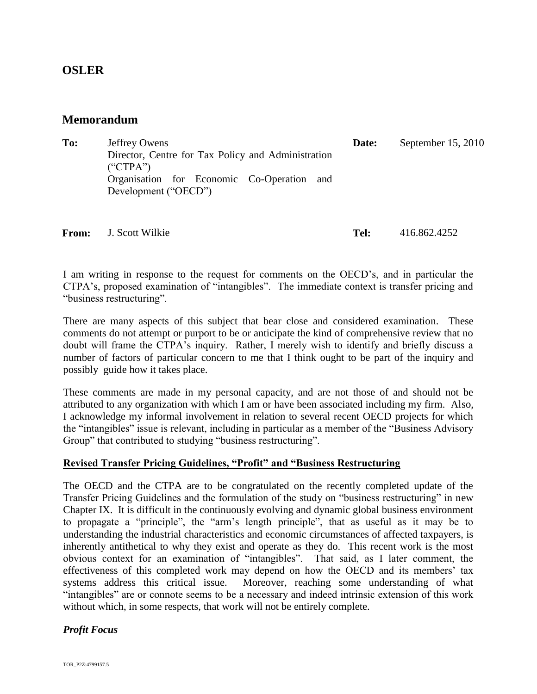# **OSLER**

## **Memorandum**

| To: | Jeffrey Owens                                                        | Date: | September 15, 2010 |
|-----|----------------------------------------------------------------------|-------|--------------------|
|     | Director, Centre for Tax Policy and Administration<br>$($ "CTPA" $)$ |       |                    |
|     | Organisation for Economic Co-Operation and<br>Development ("OECD")   |       |                    |

**From:** J. Scott Wilkie **Tel:** 416.862.4252

I am writing in response to the request for comments on the OECD's, and in particular the CTPA's, proposed examination of "intangibles". The immediate context is transfer pricing and "business restructuring".

There are many aspects of this subject that bear close and considered examination. These comments do not attempt or purport to be or anticipate the kind of comprehensive review that no doubt will frame the CTPA's inquiry. Rather, I merely wish to identify and briefly discuss a number of factors of particular concern to me that I think ought to be part of the inquiry and possibly guide how it takes place.

These comments are made in my personal capacity, and are not those of and should not be attributed to any organization with which I am or have been associated including my firm. Also, I acknowledge my informal involvement in relation to several recent OECD projects for which the "intangibles" issue is relevant, including in particular as a member of the "Business Advisory Group" that contributed to studying "business restructuring".

## **Revised Transfer Pricing Guidelines, "Profit" and "Business Restructuring**

The OECD and the CTPA are to be congratulated on the recently completed update of the Transfer Pricing Guidelines and the formulation of the study on "business restructuring" in new Chapter IX. It is difficult in the continuously evolving and dynamic global business environment to propagate a "principle", the "arm's length principle", that as useful as it may be to understanding the industrial characteristics and economic circumstances of affected taxpayers, is inherently antithetical to why they exist and operate as they do. This recent work is the most obvious context for an examination of "intangibles". That said, as I later comment, the effectiveness of this completed work may depend on how the OECD and its members' tax systems address this critical issue. Moreover, reaching some understanding of what "intangibles" are or connote seems to be a necessary and indeed intrinsic extension of this work without which, in some respects, that work will not be entirely complete.

## *Profit Focus*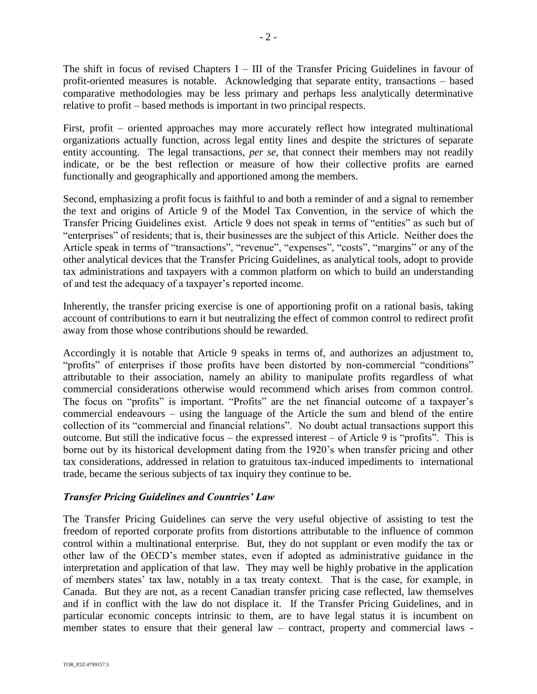The shift in focus of revised Chapters I – III of the Transfer Pricing Guidelines in favour of profit-oriented measures is notable. Acknowledging that separate entity, transactions – based comparative methodologies may be less primary and perhaps less analytically determinative relative to profit – based methods is important in two principal respects.

First, profit – oriented approaches may more accurately reflect how integrated multinational organizations actually function, across legal entity lines and despite the strictures of separate entity accounting. The legal transactions, *per se*, that connect their members may not readily indicate, or be the best reflection or measure of how their collective profits are earned functionally and geographically and apportioned among the members.

Second, emphasizing a profit focus is faithful to and both a reminder of and a signal to remember the text and origins of Article 9 of the Model Tax Convention, in the service of which the Transfer Pricing Guidelines exist. Article 9 does not speak in terms of "entities" as such but of "enterprises" of residents; that is, their businesses are the subject of this Article. Neither does the Article speak in terms of "transactions", "revenue", "expenses", "costs", "margins" or any of the other analytical devices that the Transfer Pricing Guidelines, as analytical tools, adopt to provide tax administrations and taxpayers with a common platform on which to build an understanding of and test the adequacy of a taxpayer's reported income.

Inherently, the transfer pricing exercise is one of apportioning profit on a rational basis, taking account of contributions to earn it but neutralizing the effect of common control to redirect profit away from those whose contributions should be rewarded.

Accordingly it is notable that Article 9 speaks in terms of, and authorizes an adjustment to, "profits" of enterprises if those profits have been distorted by non-commercial "conditions" attributable to their association, namely an ability to manipulate profits regardless of what commercial considerations otherwise would recommend which arises from common control. The focus on "profits" is important. "Profits" are the net financial outcome of a taxpayer's commercial endeavours – using the language of the Article the sum and blend of the entire collection of its "commercial and financial relations". No doubt actual transactions support this outcome. But still the indicative focus – the expressed interest – of Article 9 is "profits". This is borne out by its historical development dating from the 1920's when transfer pricing and other tax considerations, addressed in relation to gratuitous tax-induced impediments to international trade, became the serious subjects of tax inquiry they continue to be.

## *Transfer Pricing Guidelines and Countries' Law*

The Transfer Pricing Guidelines can serve the very useful objective of assisting to test the freedom of reported corporate profits from distortions attributable to the influence of common control within a multinational enterprise. But, they do not supplant or even modify the tax or other law of the OECD's member states, even if adopted as administrative guidance in the interpretation and application of that law. They may well be highly probative in the application of members states' tax law, notably in a tax treaty context. That is the case, for example, in Canada. But they are not, as a recent Canadian transfer pricing case reflected, law themselves and if in conflict with the law do not displace it. If the Transfer Pricing Guidelines, and in particular economic concepts intrinsic to them, are to have legal status it is incumbent on member states to ensure that their general law – contract, property and commercial laws -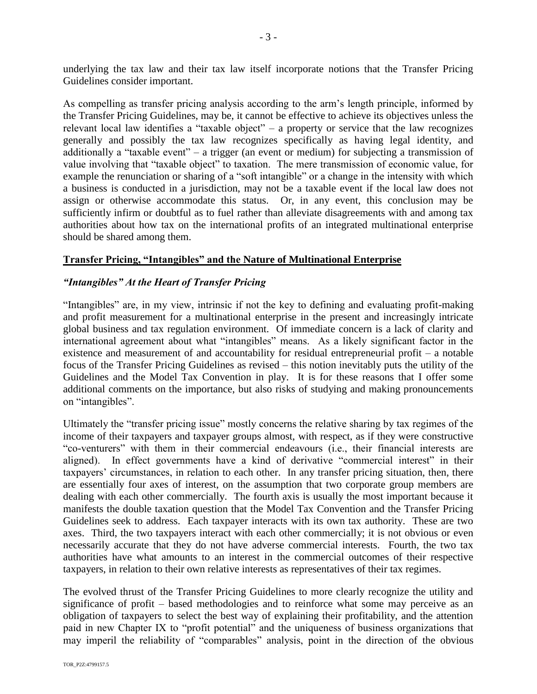underlying the tax law and their tax law itself incorporate notions that the Transfer Pricing Guidelines consider important.

As compelling as transfer pricing analysis according to the arm's length principle, informed by the Transfer Pricing Guidelines, may be, it cannot be effective to achieve its objectives unless the relevant local law identifies a "taxable object" – a property or service that the law recognizes generally and possibly the tax law recognizes specifically as having legal identity, and additionally a "taxable event" – a trigger (an event or medium) for subjecting a transmission of value involving that "taxable object" to taxation. The mere transmission of economic value, for example the renunciation or sharing of a "soft intangible" or a change in the intensity with which a business is conducted in a jurisdiction, may not be a taxable event if the local law does not assign or otherwise accommodate this status. Or, in any event, this conclusion may be sufficiently infirm or doubtful as to fuel rather than alleviate disagreements with and among tax authorities about how tax on the international profits of an integrated multinational enterprise should be shared among them.

## **Transfer Pricing, "Intangibles" and the Nature of Multinational Enterprise**

## *"Intangibles" At the Heart of Transfer Pricing*

"Intangibles" are, in my view, intrinsic if not the key to defining and evaluating profit-making and profit measurement for a multinational enterprise in the present and increasingly intricate global business and tax regulation environment. Of immediate concern is a lack of clarity and international agreement about what "intangibles" means. As a likely significant factor in the existence and measurement of and accountability for residual entrepreneurial profit – a notable focus of the Transfer Pricing Guidelines as revised – this notion inevitably puts the utility of the Guidelines and the Model Tax Convention in play. It is for these reasons that I offer some additional comments on the importance, but also risks of studying and making pronouncements on "intangibles".

Ultimately the "transfer pricing issue" mostly concerns the relative sharing by tax regimes of the income of their taxpayers and taxpayer groups almost, with respect, as if they were constructive "co-venturers" with them in their commercial endeavours (i.e., their financial interests are aligned). In effect governments have a kind of derivative "commercial interest" in their taxpayers' circumstances, in relation to each other. In any transfer pricing situation, then, there are essentially four axes of interest, on the assumption that two corporate group members are dealing with each other commercially. The fourth axis is usually the most important because it manifests the double taxation question that the Model Tax Convention and the Transfer Pricing Guidelines seek to address. Each taxpayer interacts with its own tax authority. These are two axes. Third, the two taxpayers interact with each other commercially; it is not obvious or even necessarily accurate that they do not have adverse commercial interests. Fourth, the two tax authorities have what amounts to an interest in the commercial outcomes of their respective taxpayers, in relation to their own relative interests as representatives of their tax regimes.

The evolved thrust of the Transfer Pricing Guidelines to more clearly recognize the utility and significance of profit – based methodologies and to reinforce what some may perceive as an obligation of taxpayers to select the best way of explaining their profitability, and the attention paid in new Chapter IX to "profit potential" and the uniqueness of business organizations that may imperil the reliability of "comparables" analysis, point in the direction of the obvious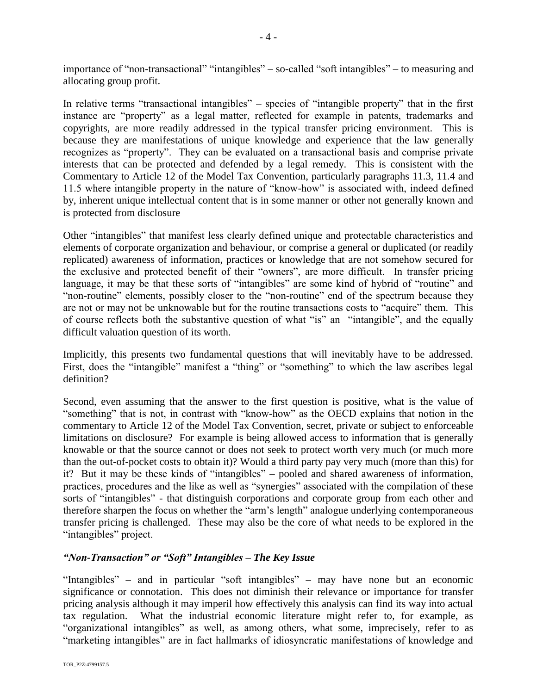importance of "non-transactional" "intangibles" – so-called "soft intangibles" – to measuring and allocating group profit.

In relative terms "transactional intangibles" – species of "intangible property" that in the first instance are "property" as a legal matter, reflected for example in patents, trademarks and copyrights, are more readily addressed in the typical transfer pricing environment. This is because they are manifestations of unique knowledge and experience that the law generally recognizes as "property". They can be evaluated on a transactional basis and comprise private interests that can be protected and defended by a legal remedy. This is consistent with the Commentary to Article 12 of the Model Tax Convention, particularly paragraphs 11.3, 11.4 and 11.5 where intangible property in the nature of "know-how" is associated with, indeed defined by, inherent unique intellectual content that is in some manner or other not generally known and is protected from disclosure

Other "intangibles" that manifest less clearly defined unique and protectable characteristics and elements of corporate organization and behaviour, or comprise a general or duplicated (or readily replicated) awareness of information, practices or knowledge that are not somehow secured for the exclusive and protected benefit of their "owners", are more difficult. In transfer pricing language, it may be that these sorts of "intangibles" are some kind of hybrid of "routine" and "non-routine" elements, possibly closer to the "non-routine" end of the spectrum because they are not or may not be unknowable but for the routine transactions costs to "acquire" them. This of course reflects both the substantive question of what "is" an "intangible", and the equally difficult valuation question of its worth.

Implicitly, this presents two fundamental questions that will inevitably have to be addressed. First, does the "intangible" manifest a "thing" or "something" to which the law ascribes legal definition?

Second, even assuming that the answer to the first question is positive, what is the value of "something" that is not, in contrast with "know-how" as the OECD explains that notion in the commentary to Article 12 of the Model Tax Convention, secret, private or subject to enforceable limitations on disclosure? For example is being allowed access to information that is generally knowable or that the source cannot or does not seek to protect worth very much (or much more than the out-of-pocket costs to obtain it)? Would a third party pay very much (more than this) for it? But it may be these kinds of "intangibles" – pooled and shared awareness of information, practices, procedures and the like as well as "synergies" associated with the compilation of these sorts of "intangibles" - that distinguish corporations and corporate group from each other and therefore sharpen the focus on whether the "arm's length" analogue underlying contemporaneous transfer pricing is challenged. These may also be the core of what needs to be explored in the "intangibles" project.

## *"Non-Transaction" or "Soft" Intangibles – The Key Issue*

"Intangibles" – and in particular "soft intangibles" – may have none but an economic significance or connotation. This does not diminish their relevance or importance for transfer pricing analysis although it may imperil how effectively this analysis can find its way into actual tax regulation. What the industrial economic literature might refer to, for example, as "organizational intangibles" as well, as among others, what some, imprecisely, refer to as "marketing intangibles" are in fact hallmarks of idiosyncratic manifestations of knowledge and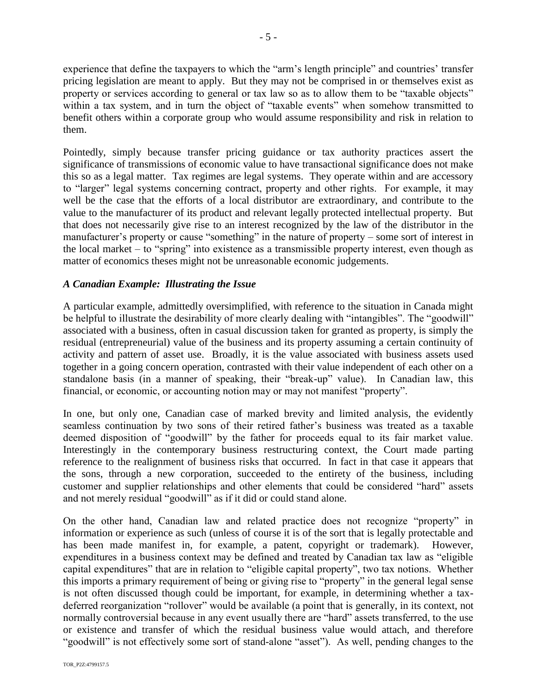experience that define the taxpayers to which the "arm's length principle" and countries' transfer pricing legislation are meant to apply. But they may not be comprised in or themselves exist as property or services according to general or tax law so as to allow them to be "taxable objects" within a tax system, and in turn the object of "taxable events" when somehow transmitted to benefit others within a corporate group who would assume responsibility and risk in relation to them.

Pointedly, simply because transfer pricing guidance or tax authority practices assert the significance of transmissions of economic value to have transactional significance does not make this so as a legal matter. Tax regimes are legal systems. They operate within and are accessory to "larger" legal systems concerning contract, property and other rights. For example, it may well be the case that the efforts of a local distributor are extraordinary, and contribute to the value to the manufacturer of its product and relevant legally protected intellectual property. But that does not necessarily give rise to an interest recognized by the law of the distributor in the manufacturer's property or cause "something" in the nature of property – some sort of interest in the local market – to "spring" into existence as a transmissible property interest, even though as matter of economics theses might not be unreasonable economic judgements.

## *A Canadian Example: Illustrating the Issue*

A particular example, admittedly oversimplified, with reference to the situation in Canada might be helpful to illustrate the desirability of more clearly dealing with "intangibles". The "goodwill" associated with a business, often in casual discussion taken for granted as property, is simply the residual (entrepreneurial) value of the business and its property assuming a certain continuity of activity and pattern of asset use. Broadly, it is the value associated with business assets used together in a going concern operation, contrasted with their value independent of each other on a standalone basis (in a manner of speaking, their "break-up" value). In Canadian law, this financial, or economic, or accounting notion may or may not manifest "property".

In one, but only one, Canadian case of marked brevity and limited analysis, the evidently seamless continuation by two sons of their retired father's business was treated as a taxable deemed disposition of "goodwill" by the father for proceeds equal to its fair market value. Interestingly in the contemporary business restructuring context, the Court made parting reference to the realignment of business risks that occurred. In fact in that case it appears that the sons, through a new corporation, succeeded to the entirety of the business, including customer and supplier relationships and other elements that could be considered "hard" assets and not merely residual "goodwill" as if it did or could stand alone.

On the other hand, Canadian law and related practice does not recognize "property" in information or experience as such (unless of course it is of the sort that is legally protectable and has been made manifest in, for example, a patent, copyright or trademark). However, expenditures in a business context may be defined and treated by Canadian tax law as "eligible capital expenditures" that are in relation to "eligible capital property", two tax notions. Whether this imports a primary requirement of being or giving rise to "property" in the general legal sense is not often discussed though could be important, for example, in determining whether a taxdeferred reorganization "rollover" would be available (a point that is generally, in its context, not normally controversial because in any event usually there are "hard" assets transferred, to the use or existence and transfer of which the residual business value would attach, and therefore "goodwill" is not effectively some sort of stand-alone "asset"). As well, pending changes to the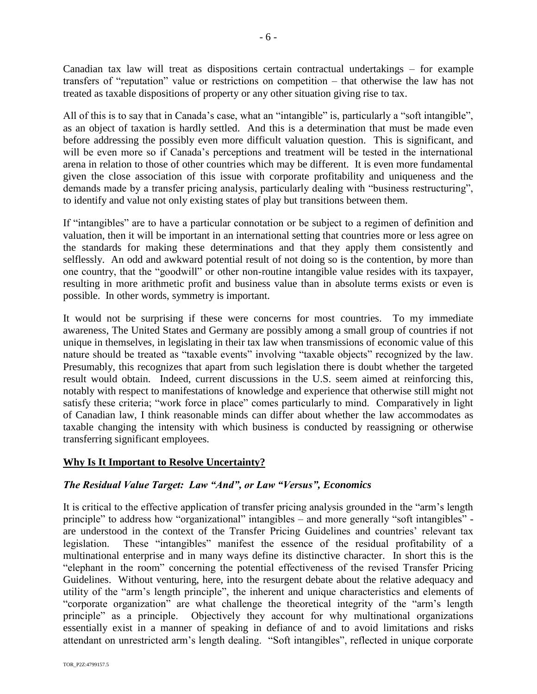Canadian tax law will treat as dispositions certain contractual undertakings – for example transfers of "reputation" value or restrictions on competition – that otherwise the law has not treated as taxable dispositions of property or any other situation giving rise to tax.

All of this is to say that in Canada's case, what an "intangible" is, particularly a "soft intangible", as an object of taxation is hardly settled. And this is a determination that must be made even before addressing the possibly even more difficult valuation question. This is significant, and will be even more so if Canada's perceptions and treatment will be tested in the international arena in relation to those of other countries which may be different. It is even more fundamental given the close association of this issue with corporate profitability and uniqueness and the demands made by a transfer pricing analysis, particularly dealing with "business restructuring", to identify and value not only existing states of play but transitions between them.

If "intangibles" are to have a particular connotation or be subject to a regimen of definition and valuation, then it will be important in an international setting that countries more or less agree on the standards for making these determinations and that they apply them consistently and selflessly. An odd and awkward potential result of not doing so is the contention, by more than one country, that the "goodwill" or other non-routine intangible value resides with its taxpayer, resulting in more arithmetic profit and business value than in absolute terms exists or even is possible. In other words, symmetry is important.

It would not be surprising if these were concerns for most countries. To my immediate awareness, The United States and Germany are possibly among a small group of countries if not unique in themselves, in legislating in their tax law when transmissions of economic value of this nature should be treated as "taxable events" involving "taxable objects" recognized by the law. Presumably, this recognizes that apart from such legislation there is doubt whether the targeted result would obtain. Indeed, current discussions in the U.S. seem aimed at reinforcing this, notably with respect to manifestations of knowledge and experience that otherwise still might not satisfy these criteria; "work force in place" comes particularly to mind. Comparatively in light of Canadian law, I think reasonable minds can differ about whether the law accommodates as taxable changing the intensity with which business is conducted by reassigning or otherwise transferring significant employees.

## **Why Is It Important to Resolve Uncertainty?**

## *The Residual Value Target: Law "And", or Law "Versus", Economics*

It is critical to the effective application of transfer pricing analysis grounded in the "arm's length principle" to address how "organizational" intangibles – and more generally "soft intangibles" are understood in the context of the Transfer Pricing Guidelines and countries' relevant tax legislation. These "intangibles" manifest the essence of the residual profitability of a multinational enterprise and in many ways define its distinctive character. In short this is the "elephant in the room" concerning the potential effectiveness of the revised Transfer Pricing Guidelines. Without venturing, here, into the resurgent debate about the relative adequacy and utility of the "arm's length principle", the inherent and unique characteristics and elements of "corporate organization" are what challenge the theoretical integrity of the "arm's length principle" as a principle. Objectively they account for why multinational organizations essentially exist in a manner of speaking in defiance of and to avoid limitations and risks attendant on unrestricted arm's length dealing. "Soft intangibles", reflected in unique corporate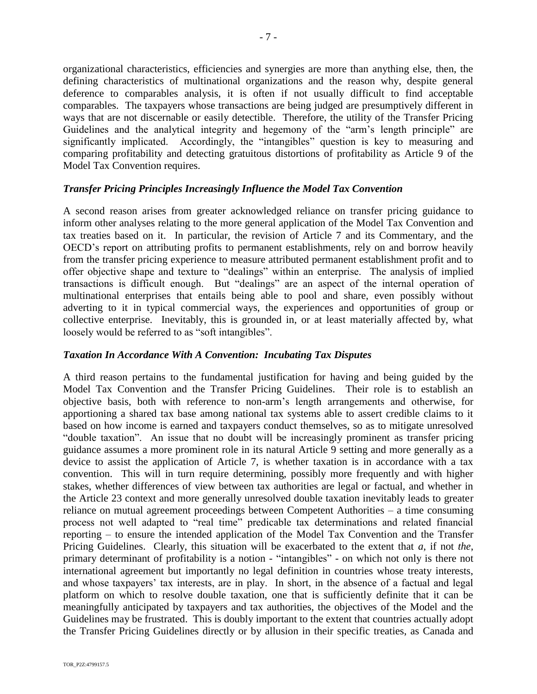organizational characteristics, efficiencies and synergies are more than anything else, then, the defining characteristics of multinational organizations and the reason why, despite general deference to comparables analysis, it is often if not usually difficult to find acceptable comparables. The taxpayers whose transactions are being judged are presumptively different in ways that are not discernable or easily detectible. Therefore, the utility of the Transfer Pricing Guidelines and the analytical integrity and hegemony of the "arm's length principle" are significantly implicated. Accordingly, the "intangibles" question is key to measuring and comparing profitability and detecting gratuitous distortions of profitability as Article 9 of the Model Tax Convention requires.

## *Transfer Pricing Principles Increasingly Influence the Model Tax Convention*

A second reason arises from greater acknowledged reliance on transfer pricing guidance to inform other analyses relating to the more general application of the Model Tax Convention and tax treaties based on it. In particular, the revision of Article 7 and its Commentary, and the OECD's report on attributing profits to permanent establishments, rely on and borrow heavily from the transfer pricing experience to measure attributed permanent establishment profit and to offer objective shape and texture to "dealings" within an enterprise. The analysis of implied transactions is difficult enough. But "dealings" are an aspect of the internal operation of multinational enterprises that entails being able to pool and share, even possibly without adverting to it in typical commercial ways, the experiences and opportunities of group or collective enterprise. Inevitably, this is grounded in, or at least materially affected by, what loosely would be referred to as "soft intangibles".

## *Taxation In Accordance With A Convention: Incubating Tax Disputes*

A third reason pertains to the fundamental justification for having and being guided by the Model Tax Convention and the Transfer Pricing Guidelines. Their role is to establish an objective basis, both with reference to non-arm's length arrangements and otherwise, for apportioning a shared tax base among national tax systems able to assert credible claims to it based on how income is earned and taxpayers conduct themselves, so as to mitigate unresolved "double taxation". An issue that no doubt will be increasingly prominent as transfer pricing guidance assumes a more prominent role in its natural Article 9 setting and more generally as a device to assist the application of Article 7, is whether taxation is in accordance with a tax convention. This will in turn require determining, possibly more frequently and with higher stakes, whether differences of view between tax authorities are legal or factual, and whether in the Article 23 context and more generally unresolved double taxation inevitably leads to greater reliance on mutual agreement proceedings between Competent Authorities – a time consuming process not well adapted to "real time" predicable tax determinations and related financial reporting – to ensure the intended application of the Model Tax Convention and the Transfer Pricing Guidelines. Clearly, this situation will be exacerbated to the extent that *a*, if not *the*, primary determinant of profitability is a notion - "intangibles" - on which not only is there not international agreement but importantly no legal definition in countries whose treaty interests, and whose taxpayers' tax interests, are in play. In short, in the absence of a factual and legal platform on which to resolve double taxation, one that is sufficiently definite that it can be meaningfully anticipated by taxpayers and tax authorities, the objectives of the Model and the Guidelines may be frustrated. This is doubly important to the extent that countries actually adopt the Transfer Pricing Guidelines directly or by allusion in their specific treaties, as Canada and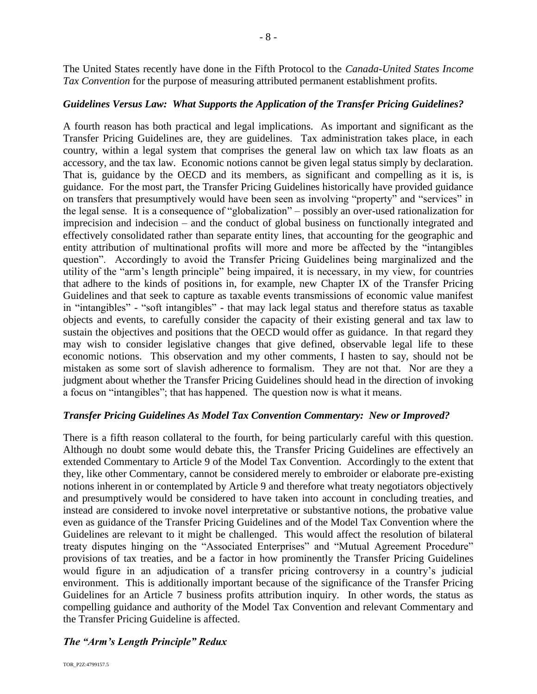The United States recently have done in the Fifth Protocol to the *Canada-United States Income Tax Convention* for the purpose of measuring attributed permanent establishment profits.

## *Guidelines Versus Law: What Supports the Application of the Transfer Pricing Guidelines?*

A fourth reason has both practical and legal implications. As important and significant as the Transfer Pricing Guidelines are, they are guidelines. Tax administration takes place, in each country, within a legal system that comprises the general law on which tax law floats as an accessory, and the tax law. Economic notions cannot be given legal status simply by declaration. That is, guidance by the OECD and its members, as significant and compelling as it is, is guidance. For the most part, the Transfer Pricing Guidelines historically have provided guidance on transfers that presumptively would have been seen as involving "property" and "services" in the legal sense. It is a consequence of "globalization" – possibly an over-used rationalization for imprecision and indecision – and the conduct of global business on functionally integrated and effectively consolidated rather than separate entity lines, that accounting for the geographic and entity attribution of multinational profits will more and more be affected by the "intangibles question". Accordingly to avoid the Transfer Pricing Guidelines being marginalized and the utility of the "arm's length principle" being impaired, it is necessary, in my view, for countries that adhere to the kinds of positions in, for example, new Chapter IX of the Transfer Pricing Guidelines and that seek to capture as taxable events transmissions of economic value manifest in "intangibles" - "soft intangibles" - that may lack legal status and therefore status as taxable objects and events, to carefully consider the capacity of their existing general and tax law to sustain the objectives and positions that the OECD would offer as guidance. In that regard they may wish to consider legislative changes that give defined, observable legal life to these economic notions. This observation and my other comments, I hasten to say, should not be mistaken as some sort of slavish adherence to formalism. They are not that. Nor are they a judgment about whether the Transfer Pricing Guidelines should head in the direction of invoking a focus on "intangibles"; that has happened. The question now is what it means.

## *Transfer Pricing Guidelines As Model Tax Convention Commentary: New or Improved?*

There is a fifth reason collateral to the fourth, for being particularly careful with this question. Although no doubt some would debate this, the Transfer Pricing Guidelines are effectively an extended Commentary to Article 9 of the Model Tax Convention. Accordingly to the extent that they, like other Commentary, cannot be considered merely to embroider or elaborate pre-existing notions inherent in or contemplated by Article 9 and therefore what treaty negotiators objectively and presumptively would be considered to have taken into account in concluding treaties, and instead are considered to invoke novel interpretative or substantive notions, the probative value even as guidance of the Transfer Pricing Guidelines and of the Model Tax Convention where the Guidelines are relevant to it might be challenged. This would affect the resolution of bilateral treaty disputes hinging on the "Associated Enterprises" and "Mutual Agreement Procedure" provisions of tax treaties, and be a factor in how prominently the Transfer Pricing Guidelines would figure in an adjudication of a transfer pricing controversy in a country's judicial environment. This is additionally important because of the significance of the Transfer Pricing Guidelines for an Article 7 business profits attribution inquiry. In other words, the status as compelling guidance and authority of the Model Tax Convention and relevant Commentary and the Transfer Pricing Guideline is affected.

## *The "Arm's Length Principle" Redux*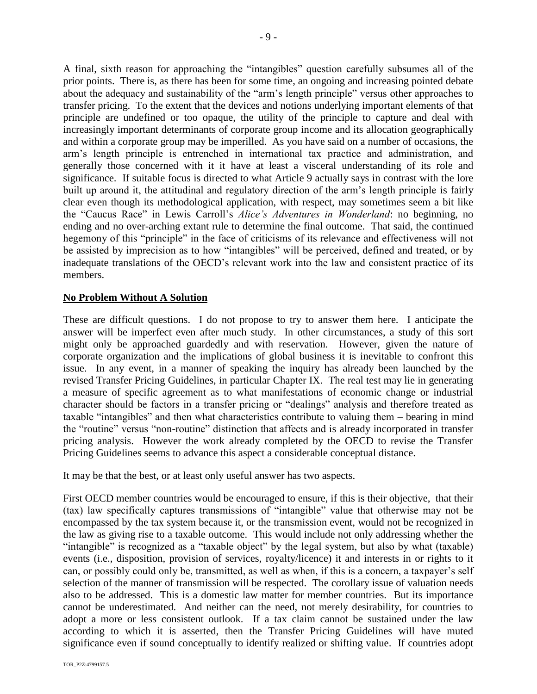A final, sixth reason for approaching the "intangibles" question carefully subsumes all of the prior points. There is, as there has been for some time, an ongoing and increasing pointed debate about the adequacy and sustainability of the "arm's length principle" versus other approaches to transfer pricing. To the extent that the devices and notions underlying important elements of that principle are undefined or too opaque, the utility of the principle to capture and deal with increasingly important determinants of corporate group income and its allocation geographically and within a corporate group may be imperilled. As you have said on a number of occasions, the arm's length principle is entrenched in international tax practice and administration, and generally those concerned with it it have at least a visceral understanding of its role and significance. If suitable focus is directed to what Article 9 actually says in contrast with the lore built up around it, the attitudinal and regulatory direction of the arm's length principle is fairly clear even though its methodological application, with respect, may sometimes seem a bit like the "Caucus Race" in Lewis Carroll's *Alice's Adventures in Wonderland*: no beginning, no ending and no over-arching extant rule to determine the final outcome. That said, the continued hegemony of this "principle" in the face of criticisms of its relevance and effectiveness will not be assisted by imprecision as to how "intangibles" will be perceived, defined and treated, or by inadequate translations of the OECD's relevant work into the law and consistent practice of its members.

## **No Problem Without A Solution**

These are difficult questions. I do not propose to try to answer them here. I anticipate the answer will be imperfect even after much study. In other circumstances, a study of this sort might only be approached guardedly and with reservation. However, given the nature of corporate organization and the implications of global business it is inevitable to confront this issue. In any event, in a manner of speaking the inquiry has already been launched by the revised Transfer Pricing Guidelines, in particular Chapter IX. The real test may lie in generating a measure of specific agreement as to what manifestations of economic change or industrial character should be factors in a transfer pricing or "dealings" analysis and therefore treated as taxable "intangibles" and then what characteristics contribute to valuing them – bearing in mind the "routine" versus "non-routine" distinction that affects and is already incorporated in transfer pricing analysis. However the work already completed by the OECD to revise the Transfer Pricing Guidelines seems to advance this aspect a considerable conceptual distance.

It may be that the best, or at least only useful answer has two aspects.

First OECD member countries would be encouraged to ensure, if this is their objective, that their (tax) law specifically captures transmissions of "intangible" value that otherwise may not be encompassed by the tax system because it, or the transmission event, would not be recognized in the law as giving rise to a taxable outcome. This would include not only addressing whether the "intangible" is recognized as a "taxable object" by the legal system, but also by what (taxable) events (i.e., disposition, provision of services, royalty/licence) it and interests in or rights to it can, or possibly could only be, transmitted, as well as when, if this is a concern, a taxpayer's self selection of the manner of transmission will be respected. The corollary issue of valuation needs also to be addressed. This is a domestic law matter for member countries. But its importance cannot be underestimated. And neither can the need, not merely desirability, for countries to adopt a more or less consistent outlook. If a tax claim cannot be sustained under the law according to which it is asserted, then the Transfer Pricing Guidelines will have muted significance even if sound conceptually to identify realized or shifting value. If countries adopt